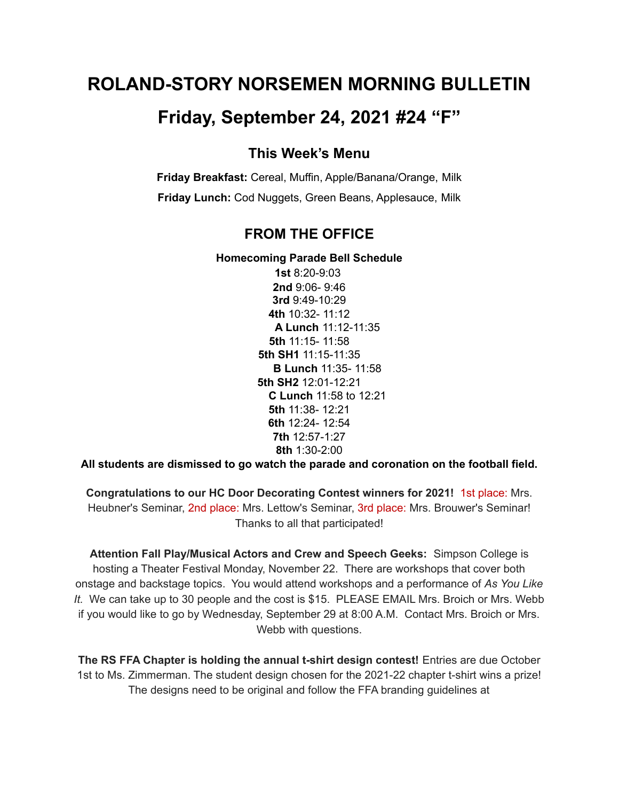# **ROLAND-STORY NORSEMEN MORNING BULLETIN**

## **Friday, September 24, 2021 #24 "F"**

#### **This Week's Menu**

**Friday Breakfast:** Cereal, Muffin, Apple/Banana/Orange, Milk **Friday Lunch:** Cod Nuggets, Green Beans, Applesauce, Milk

#### **FROM THE OFFICE**

#### **Homecoming Parade Bell Schedule**

**1st** 8:20-9:03 **2nd** 9:06- 9:46 **3rd** 9:49-10:29 **4th** 10:32- 11:12 **A Lunch** 11:12-11:35 **5th** 11:15- 11:58 **5th SH1** 11:15-11:35 **B Lunch** 11:35- 11:58 **5th SH2** 12:01-12:21 **C Lunch** 11:58 to 12:21 **5th** 11:38- 12:21 **6th** 12:24- 12:54 **7th** 12:57-1:27 **8th** 1:30-2:00

**All students are dismissed to go watch the parade and coronation on the football field.**

**Congratulations to our HC Door Decorating Contest winners for 2021!** 1st place: Mrs. Heubner's Seminar, 2nd place: Mrs. Lettow's Seminar, 3rd place: Mrs. Brouwer's Seminar! Thanks to all that participated!

**Attention Fall Play/Musical Actors and Crew and Speech Geeks:** Simpson College is hosting a Theater Festival Monday, November 22. There are workshops that cover both onstage and backstage topics. You would attend workshops and a performance of *As You Like It.* We can take up to 30 people and the cost is \$15. PLEASE EMAIL Mrs. Broich or Mrs. Webb if you would like to go by Wednesday, September 29 at 8:00 A.M. Contact Mrs. Broich or Mrs. Webb with questions.

**The RS FFA Chapter is holding the annual t-shirt design contest!** Entries are due October 1st to Ms. Zimmerman. The student design chosen for the 2021-22 chapter t-shirt wins a prize! The designs need to be original and follow the FFA branding guidelines at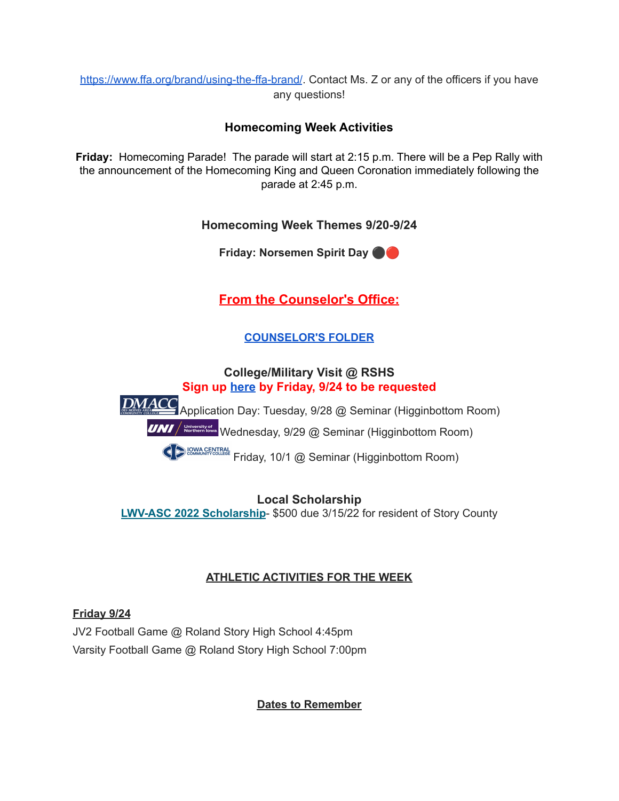<https://www.ffa.org/brand/using-the-ffa-brand/>. Contact Ms. Z or any of the officers if you have any questions!

#### **Homecoming Week Activities**

**Friday:** Homecoming Parade! The parade will start at 2:15 p.m. There will be a Pep Rally with the announcement of the Homecoming King and Queen Coronation immediately following the parade at 2:45 p.m.

#### **Homecoming Week Themes 9/20-9/24**

**Friday: Norsemen Spirit Day** ⚫️

**From the Counselor's Office:**

### **[COUNSELOR'S](https://docs.google.com/document/d/1vmwczNPbDzXe9vFaG5LJMQ7NYDv-i4oQJHybqA65TUc/edit?usp=sharing) FOLDER**

#### **College/Military Visit @ RSHS Sign up [here](https://forms.gle/9pTD2FPMHGQVCXTcA) by Friday, 9/24 to be requested**

<u>DMACC</u> Application Day: Tuesday, 9/28 @ Seminar (Higginbottom Room) **UNI** / **Recent parts** Wednesday, 9/29 @ Seminar (Higginbottom Room)

**CONG CENTRAL Friday, 10/1 @ Seminar (Higginbottom Room)** 

**Local Scholarship LWV-ASC 2022 [Scholarship](https://drive.google.com/file/d/1iMqL_F9MLi1Xgavl3AmBp1FOpwNW4UYl/view?usp=sharing)**- \$500 due 3/15/22 for resident of Story County

#### **ATHLETIC ACTIVITIES FOR THE WEEK**

**Friday 9/24** JV2 Football Game @ Roland Story High School 4:45pm Varsity Football Game @ Roland Story High School 7:00pm

**Dates to Remember**